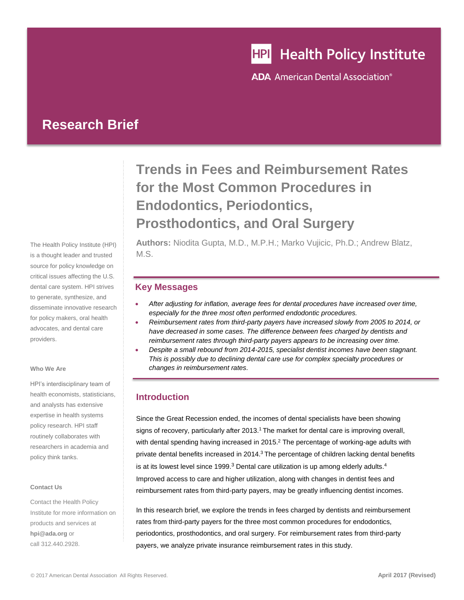# **HPI** Health Policy Institute

**ADA** American Dental Association<sup>®</sup>

## **Research Brief**

The Health Policy Institute (HPI) is a thought leader and trusted source for policy knowledge on critical issues affecting the U.S. dental care system. HPI strives to generate, synthesize, and disseminate innovative research for policy makers, oral health advocates, and dental care providers.

#### **Who We Are**

HPI's interdisciplinary team of health economists, statisticians, and analysts has extensive expertise in health systems policy research. HPI staff routinely collaborates with researchers in academia and policy think tanks.

#### **Contact Us**

Contact the Health Policy Institute for more information on products and services at **[hpi@ada.org](mailto:hpi@ada.org)** or call 312.440.2928.

## **Trends in Fees and Reimbursement Rates for the Most Common Procedures in Endodontics, Periodontics, Prosthodontics, and Oral Surgery**

**Authors:** Niodita Gupta, M.D., M.P.H.; Marko Vujicic, Ph.D.; Andrew Blatz, M.S.

## **Key Messages**

- *After adjusting for inflation, average fees for dental procedures have increased over time, especially for the three most often performed endodontic procedures.*
- *Reimbursement rates from third-party payers have increased slowly from 2005 to 2014, or have decreased in some cases. The difference between fees charged by dentists and reimbursement rates through third-party payers appears to be increasing over time.*
- *Despite a small rebound from 2014-2015, specialist dentist incomes have been stagnant. This is possibly due to declining dental care use for complex specialty procedures or changes in reimbursement rates.*

## **Introduction**

<span id="page-0-0"></span>Since the Great Recession ended, the incomes of dental specialists have been showing signs of recovery, particularly after 2013.<sup>1</sup> The market for dental care is improving overall, with dental spending having increased in 2015. $2$  The percentage of working-age adults with private dental benefits increased in 2014.<sup>3</sup> The percentage of children lacking dental benefits is at its lowest level since 1999. $3$  Dental care utilization is up among elderly adults. $4$ Improved access to care and higher utilization, along with changes in dentist fees and reimbursement rates from third-party payers, may be greatly influencing dentist incomes.

<span id="page-0-1"></span>In this research brief, we explore the trends in fees charged by dentists and reimbursement rates from third-party payers for the three most common procedures for endodontics, periodontics, prosthodontics, and oral surgery. For reimbursement rates from third-party payers, we analyze private insurance reimbursement rates in this study.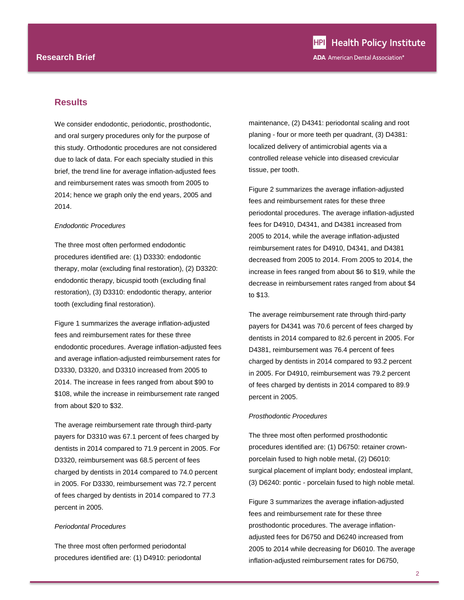### **Results**

We consider endodontic, periodontic, prosthodontic, and oral surgery procedures only for the purpose of this study. Orthodontic procedures are not considered due to lack of data. For each specialty studied in this brief, the trend line for average inflation-adjusted fees and reimbursement rates was smooth from 2005 to 2014; hence we graph only the end years, 2005 and 2014.

#### *Endodontic Procedures*

The three most often performed endodontic procedures identified are: (1) D3330: endodontic therapy, molar (excluding final restoration), (2) D3320: endodontic therapy, bicuspid tooth (excluding final restoration), (3) D3310: endodontic therapy, anterior tooth (excluding final restoration).

Figure 1 summarizes the average inflation-adjusted fees and reimbursement rates for these three endodontic procedures. Average inflation-adjusted fees and average inflation-adjusted reimbursement rates for D3330, D3320, and D3310 increased from 2005 to 2014. The increase in fees ranged from about \$90 to \$108, while the increase in reimbursement rate ranged from about \$20 to \$32.

The average reimbursement rate through third-party payers for D3310 was 67.1 percent of fees charged by dentists in 2014 compared to 71.9 percent in 2005. For D3320, reimbursement was 68.5 percent of fees charged by dentists in 2014 compared to 74.0 percent in 2005. For D3330, reimbursement was 72.7 percent of fees charged by dentists in 2014 compared to 77.3 percent in 2005.

#### *Periodontal Procedures*

The three most often performed periodontal procedures identified are: (1) D4910: periodontal maintenance, (2) D4341: periodontal scaling and root planing - four or more teeth per quadrant, (3) D4381: localized delivery of antimicrobial agents via a controlled release vehicle into diseased crevicular tissue, per tooth.

Figure 2 summarizes the average inflation-adjusted fees and reimbursement rates for these three periodontal procedures. The average inflation-adjusted fees for D4910, D4341, and D4381 increased from 2005 to 2014, while the average inflation-adjusted reimbursement rates for D4910, D4341, and D4381 decreased from 2005 to 2014. From 2005 to 2014, the increase in fees ranged from about \$6 to \$19, while the decrease in reimbursement rates ranged from about \$4 to \$13.

The average reimbursement rate through third-party payers for D4341 was 70.6 percent of fees charged by dentists in 2014 compared to 82.6 percent in 2005. For D4381, reimbursement was 76.4 percent of fees charged by dentists in 2014 compared to 93.2 percent in 2005. For D4910, reimbursement was 79.2 percent of fees charged by dentists in 2014 compared to 89.9 percent in 2005.

#### *Prosthodontic Procedures*

The three most often performed prosthodontic procedures identified are: (1) D6750: retainer crownporcelain fused to high noble metal, (2) D6010: surgical placement of implant body; endosteal implant, (3) D6240: pontic - porcelain fused to high noble metal.

Figure 3 summarizes the average inflation-adjusted fees and reimbursement rate for these three prosthodontic procedures. The average inflationadjusted fees for D6750 and D6240 increased from 2005 to 2014 while decreasing for D6010. The average inflation-adjusted reimbursement rates for D6750,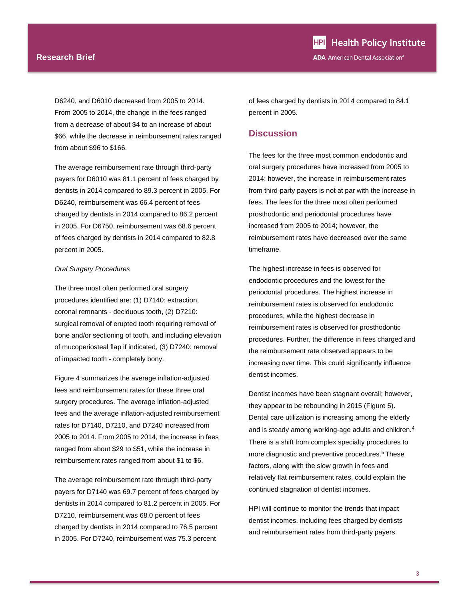#### **Research Brief**

D6240, and D6010 decreased from 2005 to 2014. From 2005 to 2014, the change in the fees ranged from a decrease of about \$4 to an increase of about \$66, while the decrease in reimbursement rates ranged from about \$96 to \$166.

The average reimbursement rate through third-party payers for D6010 was 81.1 percent of fees charged by dentists in 2014 compared to 89.3 percent in 2005. For D6240, reimbursement was 66.4 percent of fees charged by dentists in 2014 compared to 86.2 percent in 2005. For D6750, reimbursement was 68.6 percent of fees charged by dentists in 2014 compared to 82.8 percent in 2005.

#### *Oral Surgery Procedures*

The three most often performed oral surgery procedures identified are: (1) D7140: extraction, coronal remnants - deciduous tooth, (2) D7210: surgical removal of erupted tooth requiring removal of bone and/or sectioning of tooth, and including elevation of mucoperiosteal flap if indicated, (3) D7240: removal of impacted tooth - completely bony.

Figure 4 summarizes the average inflation-adjusted fees and reimbursement rates for these three oral surgery procedures. The average inflation-adjusted fees and the average inflation-adjusted reimbursement rates for D7140, D7210, and D7240 increased from 2005 to 2014. From 2005 to 2014, the increase in fees ranged from about \$29 to \$51, while the increase in reimbursement rates ranged from about \$1 to \$6.

The average reimbursement rate through third-party payers for D7140 was 69.7 percent of fees charged by dentists in 2014 compared to 81.2 percent in 2005. For D7210, reimbursement was 68.0 percent of fees charged by dentists in 2014 compared to 76.5 percent in 2005. For D7240, reimbursement was 75.3 percent

of fees charged by dentists in 2014 compared to 84.1 percent in 2005.

## **Discussion**

The fees for the three most common endodontic and oral surgery procedures have increased from 2005 to 2014; however, the increase in reimbursement rates from third-party payers is not at par with the increase in fees. The fees for the three most often performed prosthodontic and periodontal procedures have increased from 2005 to 2014; however, the reimbursement rates have decreased over the same timeframe.

The highest increase in fees is observed for endodontic procedures and the lowest for the periodontal procedures. The highest increase in reimbursement rates is observed for endodontic procedures, while the highest decrease in reimbursement rates is observed for prosthodontic procedures. Further, the difference in fees charged and the reimbursement rate observed appears to be increasing over time. This could significantly influence dentist incomes.

Dentist incomes have been stagnant overall; however, they appear to be rebounding in 2015 (Figure 5). Dental care utilization is increasing among the elderly and is steady among working-age adults and children.<sup>[4](#page-0-1)</sup> There is a shift from complex specialty procedures to more diagnostic and preventive procedures.<sup>5</sup> These factors, along with the slow growth in fees and relatively flat reimbursement rates, could explain the continued stagnation of dentist incomes.

HPI will continue to monitor the trends that impact dentist incomes, including fees charged by dentists and reimbursement rates from third-party payers.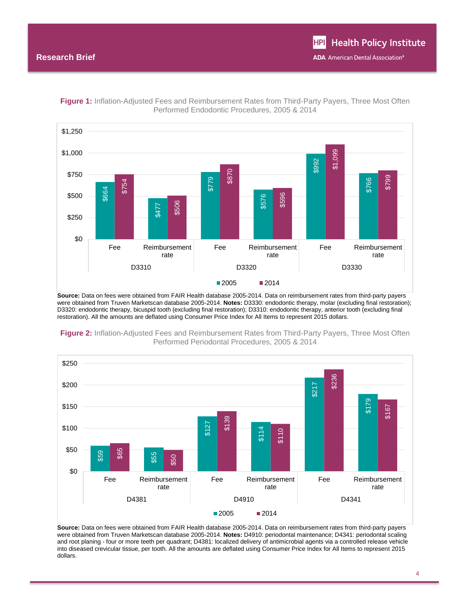

**Figure 1:** Inflation-Adjusted Fees and Reimbursement Rates from Third-Party Payers, Three Most Often Performed Endodontic Procedures, 2005 & 2014

**Source:** Data on fees were obtained from FAIR Health database 2005-2014. Data on reimbursement rates from third-party payers were obtained from Truven Marketscan database 2005-2014. **Notes:** D3330: endodontic therapy, molar (excluding final restoration); D3320: endodontic therapy, bicuspid tooth (excluding final restoration); D3310: endodontic therapy, anterior tooth (excluding final restoration). All the amounts are deflated using Consumer Price Index for All Items to represent 2015 dollars.



**Figure 2:** Inflation-Adjusted Fees and Reimbursement Rates from Third-Party Payers, Three Most Often Performed Periodontal Procedures, 2005 & 2014

**Source:** Data on fees were obtained from FAIR Health database 2005-2014. Data on reimbursement rates from third-party payers were obtained from Truven Marketscan database 2005-2014. **Notes:** D4910: periodontal maintenance; D4341: periodontal scaling and root planing - four or more teeth per quadrant; D4381: localized delivery of antimicrobial agents via a controlled release vehicle into diseased crevicular tissue, per tooth. All the amounts are deflated using Consumer Price Index for All Items to represent 2015 dollars.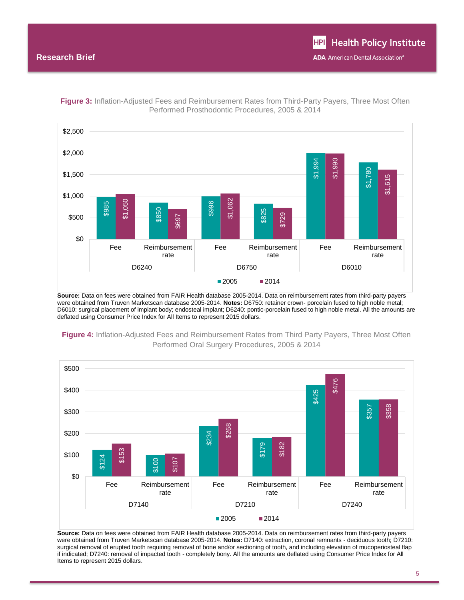

**Figure 3:** Inflation-Adjusted Fees and Reimbursement Rates from Third-Party Payers, Three Most Often Performed Prosthodontic Procedures, 2005 & 2014

**Source:** Data on fees were obtained from FAIR Health database 2005-2014. Data on reimbursement rates from third-party payers were obtained from Truven Marketscan database 2005-2014. **Notes:** D6750: retainer crown- porcelain fused to high noble metal; D6010: surgical placement of implant body; endosteal implant; D6240: pontic-porcelain fused to high noble metal. All the amounts are deflated using Consumer Price Index for All Items to represent 2015 dollars.



**Figure 4:** Inflation-Adjusted Fees and Reimbursement Rates from Third Party Payers, Three Most Often Performed Oral Surgery Procedures, 2005 & 2014

**Source:** Data on fees were obtained from FAIR Health database 2005-2014. Data on reimbursement rates from third-party payers were obtained from Truven Marketscan database 2005-2014. **Notes:** D7140: extraction, coronal remnants - deciduous tooth; D7210: surgical removal of erupted tooth requiring removal of bone and/or sectioning of tooth, and including elevation of mucoperiosteal flap if indicated; D7240: removal of impacted tooth - completely bony. All the amounts are deflated using Consumer Price Index for All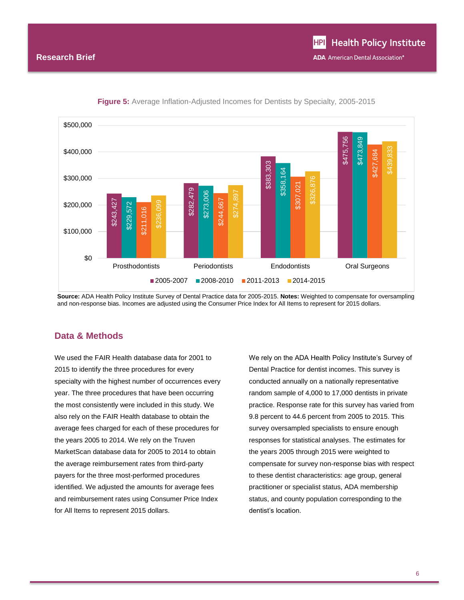

**Figure 5:** Average Inflation-Adjusted Incomes for Dentists by Specialty, 2005-2015

**Source:** ADA Health Policy Institute Survey of Dental Practice data for 2005-2015. **Notes:** Weighted to compensate for oversampling and non-response bias. Incomes are adjusted using the Consumer Price Index for All Items to represent for 2015 dollars.

## **Data & Methods**

We used the FAIR Health database data for 2001 to 2015 to identify the three procedures for every specialty with the highest number of occurrences every year. The three procedures that have been occurring the most consistently were included in this study. We also rely on the FAIR Health database to obtain the average fees charged for each of these procedures for the years 2005 to 2014. We rely on the Truven MarketScan database data for 2005 to 2014 to obtain the average reimbursement rates from third-party payers for the three most-performed procedures identified. We adjusted the amounts for average fees and reimbursement rates using Consumer Price Index for All Items to represent 2015 dollars.

We rely on the ADA Health Policy Institute's Survey of Dental Practice for dentist incomes. This survey is conducted annually on a nationally representative random sample of 4,000 to 17,000 dentists in private practice. Response rate for this survey has varied from 9.8 percent to 44.6 percent from 2005 to 2015. This survey oversampled specialists to ensure enough responses for statistical analyses. The estimates for the years 2005 through 2015 were weighted to compensate for survey non-response bias with respect to these dentist characteristics: age group, general practitioner or specialist status, ADA membership status, and county population corresponding to the dentist's location.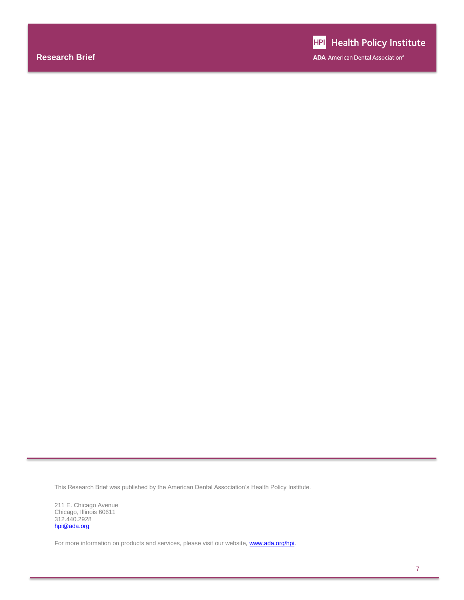This Research Brief was published by the American Dental Association's Health Policy Institute.

211 E. Chicago Avenue Chicago, Illinois 60611 312.440.2928 [hpi@ada.org](mailto:hpi@ada.org)

For more information on products and services, please visit our website, **www.ada.org/hpi**.